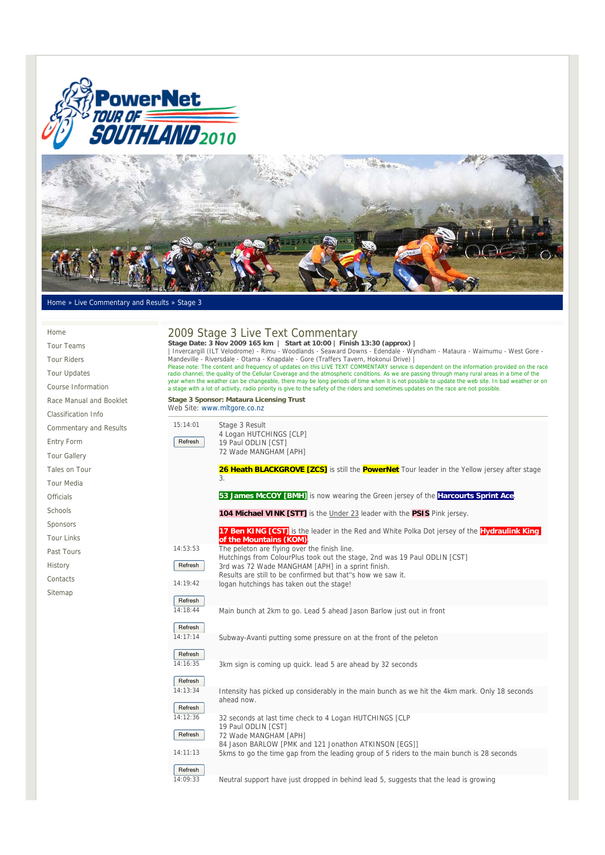



## Home » Live Commentary and Results » Stage 3

## 2009 Stage 3 Live Text Commentary Stage Date: 3 Nov 2009 165 km | Start at 10:00 | Finish 13:30 (approx) |<br>| Invercargill (ILT Velodrome) - Rimu - Woodlands - Seaward Downs - Edendale - Wyndham - Mataura - Waimumu - West Gore -Mandeville - Riversdale - Otama - Knapdale - Gore (Traffers Tavern, Hokonui Drive) | Please note: The content and frequency of updates on this LIVE TEXT COMMENTARY service is dependent on the information provided on the race<br>radio channel, the quality of the Cellular Coverage and the atmospheric conditions **Stage 3 Sponsor: Mataura Licensing Trust**  Web Site: www.mltgore.co.nz 15:14:01 Refresh Stage 3 Result 4 Logan HUTCHINGS [CLP] 19 Paul ODLIN [CST] 72 Wade MANGHAM [APH] 26 Heath BLACKGROVE [ZCS] is still the **PowerNet** Tour leader in the Yellow jersey after stage 3. **53 James McCOY [BMH]** is now wearing the Green jersey of the **Harcourts Sprint Ace. 104 Michael VINK [STT]** is the Under 23 leader with the **PSIS** Pink jersey. **17 Ben KING [CST]** is the leader in the Red and White Polka Dot jersey of the **Hydraulink King of the Mountains (KOM)**. 14:53:53 Refresh The peleton are flying over the finish line. Hutchings from ColourPlus took out the stage, 2nd was 19 Paul ODLIN [CST] 3rd was 72 Wade MANGHAM [APH] in a sprint finish. Results are still to be confirmed but that''s how we saw it. 14:19:42 Refresh logan hutchings has taken out the stage! 14:18:44 Refresh Main bunch at 2km to go. Lead 5 ahead Jason Barlow just out in front  $14.17.14$ Refresh Subway-Avanti putting some pressure on at the front of the peleton 14:16:35 Refresh 3km sign is coming up quick. lead 5 are ahead by 32 seconds 14:13:34 Refresh Intensity has picked up considerably in the main bunch as we hit the 4km mark. Only 18 seconds ahead now.  $14.12:36$ **Refresh** 32 seconds at last time check to 4 Logan HUTCHINGS [CLP 19 Paul ODLIN [CST] 72 Wade MANGHAM [APH] 84 Jason BARLOW [PMK and 121 Jonathon ATKINSON [EGS]] 14:11:13 Refresh 5kms to go the time gap from the leading group of 5 riders to the main bunch is 28 seconds Home Tour Teams Tour Riders Tour Updates Course Information Race Manual and Booklet Classification Info Commentary and Results Entry Form Tour Gallery Tales on Tour Tour Media **Officials** Schools Sponsors Tour Links Past Tours History **Contacts** Sitemap

14:09:33 Neutral support have just dropped in behind lead 5, suggests that the lead is growing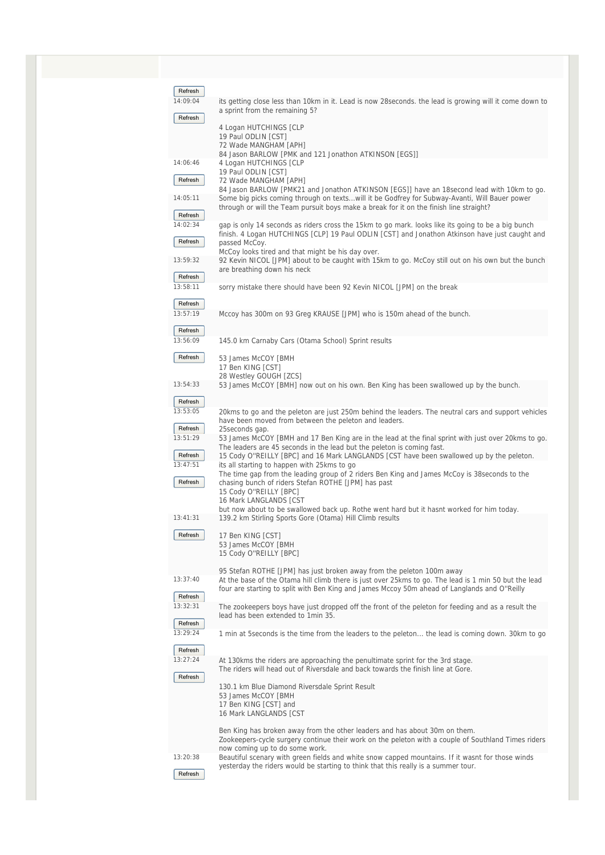| Refresh             |                                                                                                                                                                                        |
|---------------------|----------------------------------------------------------------------------------------------------------------------------------------------------------------------------------------|
| 14:09:04            | its getting close less than 10km in it. Lead is now 28seconds. the lead is growing will it come down to                                                                                |
| Refresh             | a sprint from the remaining 5?                                                                                                                                                         |
|                     | 4 Logan HUTCHINGS [CLP<br>19 Paul ODLIN [CST]                                                                                                                                          |
|                     | 72 Wade MANGHAM [APH]                                                                                                                                                                  |
| 14:06:46            | 84 Jason BARLOW [PMK and 121 Jonathon ATKINSON [EGS]]<br>4 Logan HUTCHINGS [CLP                                                                                                        |
|                     | 19 Paul ODLIN [CST]                                                                                                                                                                    |
| Refresh             | 72 Wade MANGHAM [APH]<br>84 Jason BARLOW [PMK21 and Jonathon ATKINSON [EGS]] have an 18second lead with 10km to go.                                                                    |
| 14:05:11            | Some big picks coming through on textswill it be Godfrey for Subway-Avanti, Will Bauer power                                                                                           |
| Refresh             | through or will the Team pursuit boys make a break for it on the finish line straight?                                                                                                 |
| 14:02:34            | gap is only 14 seconds as riders cross the 15km to go mark. looks like its going to be a big bunch                                                                                     |
| Refresh             | finish. 4 Logan HUTCHINGS [CLP] 19 Paul ODLIN [CST] and Jonathon Atkinson have just caught and<br>passed McCoy.                                                                        |
|                     | McCoy looks tired and that might be his day over.                                                                                                                                      |
| 13:59:32            | 92 Kevin NICOL [JPM] about to be caught with 15km to go. McCoy still out on his own but the bunch<br>are breathing down his neck                                                       |
| Refresh             |                                                                                                                                                                                        |
| 13:58:11            | sorry mistake there should have been 92 Kevin NICOL [JPM] on the break                                                                                                                 |
| Refresh             |                                                                                                                                                                                        |
| 13:57:19            | Mccoy has 300m on 93 Greg KRAUSE [JPM] who is 150m ahead of the bunch.                                                                                                                 |
| Refresh             |                                                                                                                                                                                        |
| 13:56:09            | 145.0 km Carnaby Cars (Otama School) Sprint results                                                                                                                                    |
| Refresh             | 53 James McCOY [BMH                                                                                                                                                                    |
|                     | 17 Ben KING [CST]<br>28 Westley GOUGH [ZCS]                                                                                                                                            |
| 13:54:33            | 53 James McCOY [BMH] now out on his own. Ben King has been swallowed up by the bunch.                                                                                                  |
| Refresh             |                                                                                                                                                                                        |
| 13:53:05            | 20kms to go and the peleton are just 250m behind the leaders. The neutral cars and support vehicles                                                                                    |
| Refresh             | have been moved from between the peleton and leaders.<br>25 seconds gap.                                                                                                               |
| 13:51:29            | 53 James McCOY [BMH and 17 Ben King are in the lead at the final sprint with just over 20kms to go.                                                                                    |
| Refresh             | The leaders are 45 seconds in the lead but the peleton is coming fast.<br>15 Cody O"REILLY [BPC] and 16 Mark LANGLANDS [CST have been swallowed up by the peleton.                     |
| 13:47:51            | its all starting to happen with 25 kms to go                                                                                                                                           |
| Refresh             | The time gap from the leading group of 2 riders Ben King and James McCoy is 38 seconds to the<br>chasing bunch of riders Stefan ROTHE [JPM] has past                                   |
|                     | 15 Cody O"REILLY [BPC]                                                                                                                                                                 |
|                     | 16 Mark LANGLANDS [CST<br>but now about to be swallowed back up. Rothe went hard but it hasnt worked for him today.                                                                    |
| 13:41:31            | 139.2 km Stirling Sports Gore (Otama) Hill Climb results                                                                                                                               |
| Refresh             | 17 Ben KING [CST]                                                                                                                                                                      |
|                     | 53 James McCOY [BMH                                                                                                                                                                    |
|                     | 15 Cody O"REILLY [BPC]                                                                                                                                                                 |
| 13:37:40            | 95 Stefan ROTHE [JPM] has just broken away from the peleton 100m away<br>At the base of the Otama hill climb there is just over 25kms to go. The lead is 1 min 50 but the lead         |
|                     | four are starting to split with Ben King and James Mccoy 50m ahead of Langlands and O"Reilly                                                                                           |
| Refresh<br>13:32:31 | The zookeepers boys have just dropped off the front of the peleton for feeding and as a result the                                                                                     |
|                     | lead has been extended to 1 min 35.                                                                                                                                                    |
| Refresh<br>13:29:24 | 1 min at 5seconds is the time from the leaders to the peleton the lead is coming down. 30km to go                                                                                      |
|                     |                                                                                                                                                                                        |
| Refresh<br>13:27:24 | At 130kms the riders are approaching the penultimate sprint for the 3rd stage.                                                                                                         |
|                     | The riders will head out of Riversdale and back towards the finish line at Gore.                                                                                                       |
| Refresh             | 130.1 km Blue Diamond Riversdale Sprint Result                                                                                                                                         |
|                     | 53 James McCOY [BMH                                                                                                                                                                    |
|                     | 17 Ben KING [CST] and<br>16 Mark LANGLANDS [CST                                                                                                                                        |
|                     |                                                                                                                                                                                        |
|                     | Ben King has broken away from the other leaders and has about 30m on them.<br>Zookeepers-cycle surgery continue their work on the peleton with a couple of Southland Times riders      |
| 13:20:38            | now coming up to do some work.                                                                                                                                                         |
|                     | Beautiful scenary with green fields and white snow capped mountains. If it wasnt for those winds<br>yesterday the riders would be starting to think that this really is a summer tour. |
| Refresh             |                                                                                                                                                                                        |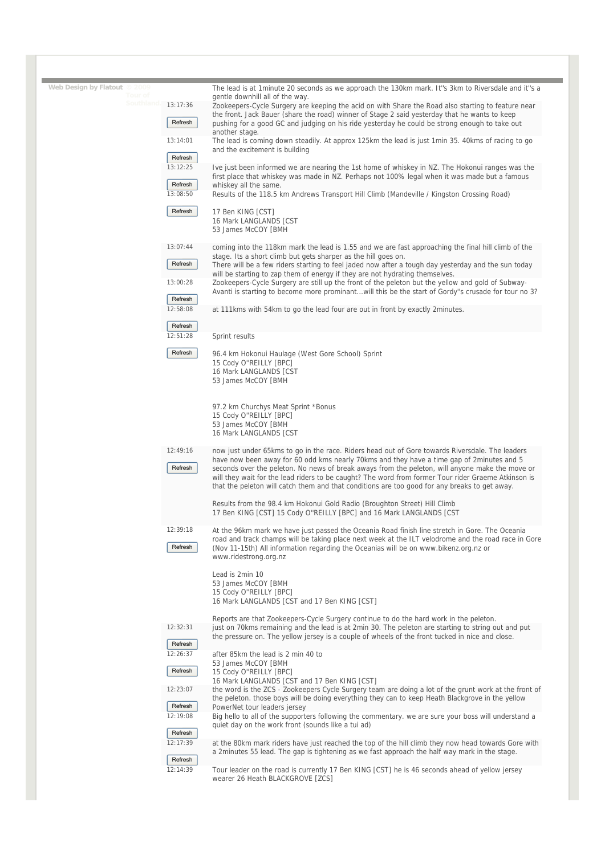| Web Design by Flatout © 2009 |                     |                                                                                                                                                                                                                                                                                                                                                                                                                                                                                                         |
|------------------------------|---------------------|---------------------------------------------------------------------------------------------------------------------------------------------------------------------------------------------------------------------------------------------------------------------------------------------------------------------------------------------------------------------------------------------------------------------------------------------------------------------------------------------------------|
|                              |                     | The lead is at 1minute 20 seconds as we approach the 130km mark. It"s 3km to Riversdale and it"s a<br>gentle downhill all of the way.                                                                                                                                                                                                                                                                                                                                                                   |
| Southland.                   | 13:17:36            | Zookeepers-Cycle Surgery are keeping the acid on with Share the Road also starting to feature near<br>the front. Jack Bauer (share the road) winner of Stage 2 said yesterday that he wants to keep                                                                                                                                                                                                                                                                                                     |
|                              | Refresh             | pushing for a good GC and judging on his ride yesterday he could be strong enough to take out<br>another stage.                                                                                                                                                                                                                                                                                                                                                                                         |
|                              | 13:14:01            | The lead is coming down steadily. At approx 125km the lead is just 1min 35. 40kms of racing to go<br>and the excitement is building                                                                                                                                                                                                                                                                                                                                                                     |
|                              | Refresh             |                                                                                                                                                                                                                                                                                                                                                                                                                                                                                                         |
|                              | 13:12:25            | Ive just been informed we are nearing the 1st home of whiskey in NZ. The Hokonui ranges was the<br>first place that whiskey was made in NZ. Perhaps not 100% legal when it was made but a famous                                                                                                                                                                                                                                                                                                        |
|                              | Refresh<br>13:08:50 | whiskey all the same.<br>Results of the 118.5 km Andrews Transport Hill Climb (Mandeville / Kingston Crossing Road)                                                                                                                                                                                                                                                                                                                                                                                     |
|                              | Refresh             | 17 Ben KING [CST]<br>16 Mark LANGLANDS [CST                                                                                                                                                                                                                                                                                                                                                                                                                                                             |
|                              |                     | 53 James McCOY [BMH                                                                                                                                                                                                                                                                                                                                                                                                                                                                                     |
|                              | 13:07:44            | coming into the 118km mark the lead is 1.55 and we are fast approaching the final hill climb of the<br>stage. Its a short climb but gets sharper as the hill goes on.                                                                                                                                                                                                                                                                                                                                   |
|                              | Refresh             | There will be a few riders starting to feel jaded now after a tough day yesterday and the sun today<br>will be starting to zap them of energy if they are not hydrating themselves.                                                                                                                                                                                                                                                                                                                     |
|                              | 13:00:28            | Zookeepers-Cycle Surgery are still up the front of the peleton but the yellow and gold of Subway-<br>Avanti is starting to become more prominantwill this be the start of Gordy"s crusade for tour no 3?                                                                                                                                                                                                                                                                                                |
|                              | Refresh<br>12:58:08 | at 111 kms with 54 km to go the lead four are out in front by exactly 2 minutes.                                                                                                                                                                                                                                                                                                                                                                                                                        |
|                              | Refresh             |                                                                                                                                                                                                                                                                                                                                                                                                                                                                                                         |
|                              | 12:51:28            | Sprint results                                                                                                                                                                                                                                                                                                                                                                                                                                                                                          |
|                              | Refresh             | 96.4 km Hokonui Haulage (West Gore School) Sprint<br>15 Cody O"REILLY [BPC]<br>16 Mark LANGLANDS [CST<br>53 James McCOY [BMH                                                                                                                                                                                                                                                                                                                                                                            |
|                              |                     | 97.2 km Churchys Meat Sprint *Bonus<br>15 Cody O"REILLY [BPC]<br>53 James McCOY [BMH<br>16 Mark LANGLANDS [CST                                                                                                                                                                                                                                                                                                                                                                                          |
|                              | 12:49:16<br>Refresh | now just under 65kms to go in the race. Riders head out of Gore towards Riversdale. The leaders<br>have now been away for 60 odd kms nearly 70kms and they have a time gap of 2minutes and 5<br>seconds over the peleton. No news of break aways from the peleton, will anyone make the move or<br>will they wait for the lead riders to be caught? The word from former Tour rider Graeme Atkinson is<br>that the peleton will catch them and that conditions are too good for any breaks to get away. |
|                              |                     | Results from the 98.4 km Hokonui Gold Radio (Broughton Street) Hill Climb<br>17 Ben KING [CST] 15 Cody O"REILLY [BPC] and 16 Mark LANGLANDS [CST                                                                                                                                                                                                                                                                                                                                                        |
|                              | 12:39:18<br>Refresh | At the 96km mark we have just passed the Oceania Road finish line stretch in Gore. The Oceania<br>road and track champs will be taking place next week at the ILT velodrome and the road race in Gore<br>(Nov 11-15th) All information regarding the Oceanias will be on www.bikenz.org.nz or<br>www.ridestrong.org.nz                                                                                                                                                                                  |
|                              |                     | Lead is 2min 10<br>53 James McCOY [BMH<br>15 Cody O"REILLY [BPC]<br>16 Mark LANGLANDS [CST and 17 Ben KING [CST]                                                                                                                                                                                                                                                                                                                                                                                        |
|                              | 12:32:31            | Reports are that Zookeepers-Cycle Surgery continue to do the hard work in the peleton.<br>just on 70kms remaining and the lead is at 2min 30. The peleton are starting to string out and put                                                                                                                                                                                                                                                                                                            |
|                              | Refresh             | the pressure on. The yellow jersey is a couple of wheels of the front tucked in nice and close.                                                                                                                                                                                                                                                                                                                                                                                                         |
|                              | 12:26:37<br>Refresh | after 85km the lead is 2 min 40 to<br>53 James McCOY [BMH<br>15 Cody O"REILLY [BPC]                                                                                                                                                                                                                                                                                                                                                                                                                     |
|                              | 12:23:07            | 16 Mark LANGLANDS [CST and 17 Ben KING [CST]<br>the word is the ZCS - Zookeepers Cycle Surgery team are doing a lot of the grunt work at the front of                                                                                                                                                                                                                                                                                                                                                   |
|                              | Refresh             | the peleton, those boys will be doing everything they can to keep Heath Blackgrove in the yellow<br>PowerNet tour leaders jersey                                                                                                                                                                                                                                                                                                                                                                        |
|                              |                     |                                                                                                                                                                                                                                                                                                                                                                                                                                                                                                         |
|                              | 12:19:08            | Big hello to all of the supporters following the commentary. we are sure your boss will understand a<br>quiet day on the work front (sounds like a tui ad)                                                                                                                                                                                                                                                                                                                                              |
|                              | Refresh<br>12:17:39 | at the 80km mark riders have just reached the top of the hill climb they now head towards Gore with                                                                                                                                                                                                                                                                                                                                                                                                     |
|                              | Refresh<br>12:14:39 | a 2minutes 55 lead. The gap is tightening as we fast approach the half way mark in the stage.<br>Tour leader on the road is currently 17 Ben KING [CST] he is 46 seconds ahead of yellow jersey                                                                                                                                                                                                                                                                                                         |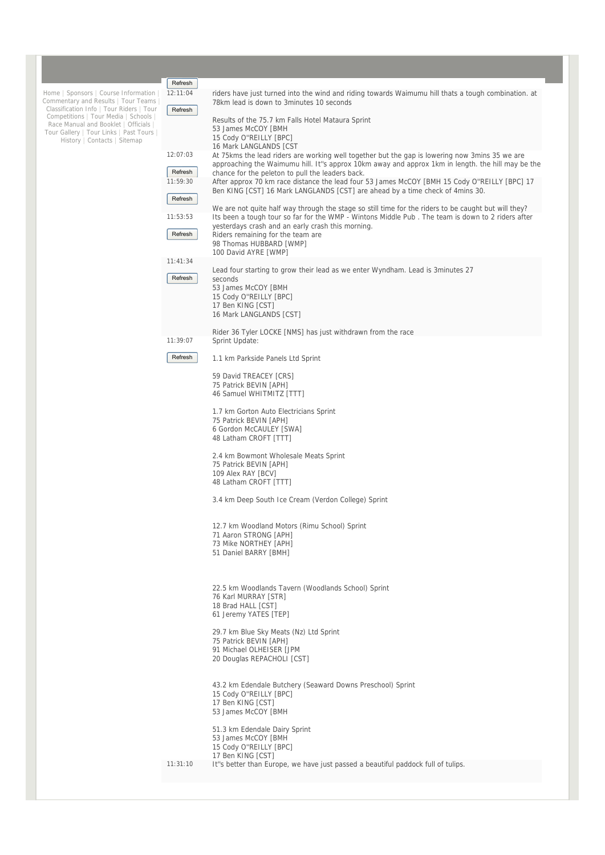|                                                                                 | Refresh  |                                                                                                                                                                                                           |
|---------------------------------------------------------------------------------|----------|-----------------------------------------------------------------------------------------------------------------------------------------------------------------------------------------------------------|
| Home   Sponsors   Course Information<br>Commentary and Results   Tour Teams     | 12:11:04 | riders have just turned into the wind and riding towards Waimumu hill thats a tough combination, at<br>78km lead is down to 3minutes 10 seconds                                                           |
| Classification Info   Tour Riders   Tour<br>Competitions   Tour Media   Schools | Refresh  | Results of the 75.7 km Falls Hotel Mataura Sprint                                                                                                                                                         |
| Race Manual and Booklet   Officials  <br>Tour Gallery   Tour Links   Past Tours |          | 53 James McCOY [BMH                                                                                                                                                                                       |
| History   Contacts   Sitemap                                                    |          | 15 Cody O"REILLY [BPC]<br>16 Mark LANGLANDS [CST                                                                                                                                                          |
|                                                                                 | 12:07:03 | At 75 kms the lead riders are working well together but the gap is lowering now 3 mins 35 we are                                                                                                          |
|                                                                                 | Refresh  | approaching the Waimumu hill. It"s approx 10km away and approx 1km in length. the hill may be the<br>chance for the peleton to pull the leaders back.                                                     |
|                                                                                 | 11:59:30 | After approx 70 km race distance the lead four 53 James McCOY [BMH 15 Cody O"REILLY [BPC] 17                                                                                                              |
|                                                                                 | Refresh  | Ben KING [CST] 16 Mark LANGLANDS [CST] are ahead by a time check of 4mins 30.                                                                                                                             |
|                                                                                 | 11:53:53 | We are not quite half way through the stage so still time for the riders to be caught but will they?<br>Its been a tough tour so far for the WMP - Wintons Middle Pub. The team is down to 2 riders after |
|                                                                                 | Refresh  | yesterdays crash and an early crash this morning.<br>Riders remaining for the team are                                                                                                                    |
|                                                                                 |          | 98 Thomas HUBBARD [WMP]<br>100 David AYRE [WMP]                                                                                                                                                           |
|                                                                                 | 11:41:34 |                                                                                                                                                                                                           |
|                                                                                 | Refresh  | Lead four starting to grow their lead as we enter Wyndham. Lead is 3minutes 27<br>seconds                                                                                                                 |
|                                                                                 |          | 53 James McCOY [BMH                                                                                                                                                                                       |
|                                                                                 |          | 15 Cody O"REILLY [BPC]<br>17 Ben KING [CST]                                                                                                                                                               |
|                                                                                 |          | 16 Mark LANGLANDS [CST]                                                                                                                                                                                   |
|                                                                                 |          | Rider 36 Tyler LOCKE [NMS] has just withdrawn from the race                                                                                                                                               |
|                                                                                 | 11:39:07 | Sprint Update:                                                                                                                                                                                            |
|                                                                                 | Refresh  | 1.1 km Parkside Panels Ltd Sprint                                                                                                                                                                         |
|                                                                                 |          | 59 David TREACEY [CRS]<br>75 Patrick BEVIN [APH]                                                                                                                                                          |
|                                                                                 |          | 46 Samuel WHITMITZ [TTT]                                                                                                                                                                                  |
|                                                                                 |          | 1.7 km Gorton Auto Electricians Sprint                                                                                                                                                                    |
|                                                                                 |          | 75 Patrick BEVIN [APH]<br>6 Gordon McCAULEY [SWA]                                                                                                                                                         |
|                                                                                 |          | 48 Latham CROFT [TTT]                                                                                                                                                                                     |
|                                                                                 |          | 2.4 km Bowmont Wholesale Meats Sprint                                                                                                                                                                     |
|                                                                                 |          | 75 Patrick BEVIN [APH]<br>109 Alex RAY [BCV]                                                                                                                                                              |
|                                                                                 |          | 48 Latham CROFT [TTT]                                                                                                                                                                                     |
|                                                                                 |          | 3.4 km Deep South Ice Cream (Verdon College) Sprint                                                                                                                                                       |
|                                                                                 |          |                                                                                                                                                                                                           |
|                                                                                 |          | 12.7 km Woodland Motors (Rimu School) Sprint<br>71 Aaron STRONG [APH]                                                                                                                                     |
|                                                                                 |          | 73 Mike NORTHEY [APH]                                                                                                                                                                                     |
|                                                                                 |          | 51 Daniel BARRY [BMH]                                                                                                                                                                                     |
|                                                                                 |          |                                                                                                                                                                                                           |
|                                                                                 |          | 22.5 km Woodlands Tavern (Woodlands School) Sprint<br>76 Karl MURRAY [STR]                                                                                                                                |
|                                                                                 |          | 18 Brad HALL [CST]                                                                                                                                                                                        |
|                                                                                 |          | 61 Jeremy YATES [TEP]                                                                                                                                                                                     |
|                                                                                 |          | 29.7 km Blue Sky Meats (Nz) Ltd Sprint<br>75 Patrick BEVIN [APH]                                                                                                                                          |
|                                                                                 |          | 91 Michael OLHEISER [JPM                                                                                                                                                                                  |
|                                                                                 |          | 20 Douglas REPACHOLI [CST]                                                                                                                                                                                |
|                                                                                 |          | 43.2 km Edendale Butchery (Seaward Downs Preschool) Sprint                                                                                                                                                |
|                                                                                 |          | 15 Cody O"REILLY [BPC]                                                                                                                                                                                    |
|                                                                                 |          | 17 Ben KING [CST]<br>53 James McCOY [BMH                                                                                                                                                                  |
|                                                                                 |          | 51.3 km Edendale Dairy Sprint                                                                                                                                                                             |
|                                                                                 |          | 53 James McCOY [BMH                                                                                                                                                                                       |
|                                                                                 |          | 15 Cody O"REILLY [BPC]<br>17 Ben KING [CST]                                                                                                                                                               |
|                                                                                 | 11:31:10 | It"s better than Europe, we have just passed a beautiful paddock full of tulips.                                                                                                                          |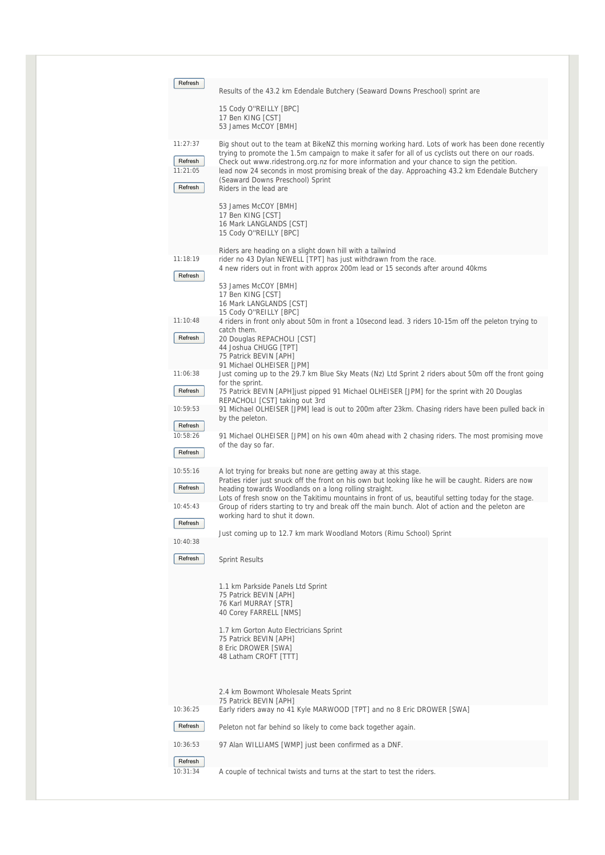| Refresh                         | Results of the 43.2 km Edendale Butchery (Seaward Downs Preschool) sprint are                                                                                                                                                                                                                                                                                                                                                                |
|---------------------------------|----------------------------------------------------------------------------------------------------------------------------------------------------------------------------------------------------------------------------------------------------------------------------------------------------------------------------------------------------------------------------------------------------------------------------------------------|
|                                 |                                                                                                                                                                                                                                                                                                                                                                                                                                              |
|                                 | 15 Cody O"REILLY [BPC]<br>17 Ben KING [CST]<br>53 James McCOY [BMH]                                                                                                                                                                                                                                                                                                                                                                          |
| 11:27:37<br>Refresh<br>11:21:05 | Big shout out to the team at BikeNZ this morning working hard. Lots of work has been done recently<br>trying to promote the 1.5m campaign to make it safer for all of us cyclists out there on our roads.<br>Check out www.ridestrong.org.nz for more information and your chance to sign the petition.<br>lead now 24 seconds in most promising break of the day. Approaching 43.2 km Edendale Butchery<br>(Seaward Downs Preschool) Sprint |
| Refresh                         | Riders in the lead are<br>53 James McCOY [BMH]<br>17 Ben KING [CST]<br>16 Mark LANGLANDS [CST]<br>15 Cody O"REILLY [BPC]<br>Riders are heading on a slight down hill with a tailwind                                                                                                                                                                                                                                                         |
| 11:18:19<br>Refresh             | rider no 43 Dylan NEWELL [TPT] has just withdrawn from the race.<br>4 new riders out in front with approx 200m lead or 15 seconds after around 40kms                                                                                                                                                                                                                                                                                         |
|                                 | 53 James McCOY [BMH]<br>17 Ben KING [CST]<br>16 Mark LANGLANDS [CST]<br>15 Cody O"REILLY [BPC]                                                                                                                                                                                                                                                                                                                                               |
| 11:10:48<br>Refresh             | 4 riders in front only about 50m in front a 10second lead. 3 riders 10-15m off the peleton trying to<br>catch them.<br>20 Douglas REPACHOLI [CST]<br>44 Joshua CHUGG [TPT]<br>75 Patrick BEVIN [APH]<br>91 Michael OLHEISER [JPM]                                                                                                                                                                                                            |
| 11:06:38                        | Just coming up to the 29.7 km Blue Sky Meats (Nz) Ltd Sprint 2 riders about 50m off the front going<br>for the sprint.                                                                                                                                                                                                                                                                                                                       |
| Refresh<br>10:59:53             | 75 Patrick BEVIN [APH] just pipped 91 Michael OLHEISER [JPM] for the sprint with 20 Douglas<br>REPACHOLI [CST] taking out 3rd<br>91 Michael OLHEISER [JPM] lead is out to 200m after 23km. Chasing riders have been pulled back in                                                                                                                                                                                                           |
| Refresh                         | by the peleton.                                                                                                                                                                                                                                                                                                                                                                                                                              |
| 10:58:26<br>Refresh             | 91 Michael OLHEISER [JPM] on his own 40m ahead with 2 chasing riders. The most promising move<br>of the day so far.                                                                                                                                                                                                                                                                                                                          |
| 10:55:16<br>Refresh             | A lot trying for breaks but none are getting away at this stage.<br>Praties rider just snuck off the front on his own but looking like he will be caught. Riders are now<br>heading towards Woodlands on a long rolling straight.<br>Lots of fresh snow on the Takitimu mountains in front of us, beautiful setting today for the stage.                                                                                                     |
| 10:45:43<br>Refresh             | Group of riders starting to try and break off the main bunch. Alot of action and the peleton are<br>working hard to shut it down.                                                                                                                                                                                                                                                                                                            |
| 10:40:38                        | Just coming up to 12.7 km mark Woodland Motors (Rimu School) Sprint                                                                                                                                                                                                                                                                                                                                                                          |
| Refresh                         | <b>Sprint Results</b>                                                                                                                                                                                                                                                                                                                                                                                                                        |
|                                 | 1.1 km Parkside Panels Ltd Sprint<br>75 Patrick BEVIN [APH]<br>76 Karl MURRAY [STR]<br>40 Corey FARRELL [NMS]                                                                                                                                                                                                                                                                                                                                |
|                                 | 1.7 km Gorton Auto Electricians Sprint<br>75 Patrick BEVIN [APH]<br>8 Eric DROWER [SWA]<br>48 Latham CROFT [TTT]                                                                                                                                                                                                                                                                                                                             |
|                                 | 2.4 km Bowmont Wholesale Meats Sprint                                                                                                                                                                                                                                                                                                                                                                                                        |
| 10:36:25                        | 75 Patrick BEVIN [APH]<br>Early riders away no 41 Kyle MARWOOD [TPT] and no 8 Eric DROWER [SWA]                                                                                                                                                                                                                                                                                                                                              |
| Refresh                         | Peleton not far behind so likely to come back together again.                                                                                                                                                                                                                                                                                                                                                                                |
| 10:36:53                        | 97 Alan WILLIAMS [WMP] just been confirmed as a DNF.                                                                                                                                                                                                                                                                                                                                                                                         |
| Refresh<br>10:31:34             | A couple of technical twists and turns at the start to test the riders.                                                                                                                                                                                                                                                                                                                                                                      |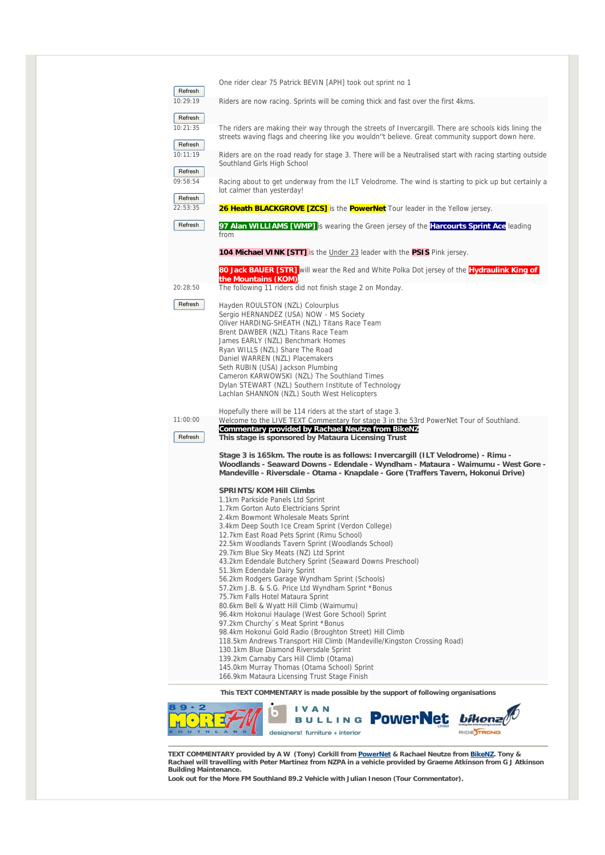| Refresh                        | One rider clear 75 Patrick BEVIN [APH] took out sprint no 1                                                                                                                                                                                                                                                                                                                                                                                                               |
|--------------------------------|---------------------------------------------------------------------------------------------------------------------------------------------------------------------------------------------------------------------------------------------------------------------------------------------------------------------------------------------------------------------------------------------------------------------------------------------------------------------------|
| 10:29:19                       | Riders are now racing. Sprints will be coming thick and fast over the first 4kms.                                                                                                                                                                                                                                                                                                                                                                                         |
| Refresh<br>10:21:35<br>Refresh | The riders are making their way through the streets of Invercargill. There are schools kids lining the<br>streets waving flags and cheering like you wouldn"t believe. Great community support down here.                                                                                                                                                                                                                                                                 |
| 10:11:19<br>Refresh            | Riders are on the road ready for stage 3. There will be a Neutralised start with racing starting outside<br>Southland Girls High School                                                                                                                                                                                                                                                                                                                                   |
| 09:58:54<br>Refresh            | Racing about to get underway from the ILT Velodrome. The wind is starting to pick up but certainly a<br>lot calmer than yesterday!                                                                                                                                                                                                                                                                                                                                        |
| 22:53:35                       | 26 Heath BLACKGROVE [ZCS] is the PowerNet Tour leader in the Yellow jersey.                                                                                                                                                                                                                                                                                                                                                                                               |
| Refresh                        | 97 Alan WILLIAMS [WMP] is wearing the Green jersey of the Harcourts Sprint Ace leading<br>from                                                                                                                                                                                                                                                                                                                                                                            |
|                                | <b>104 Michael VINK [STT]</b> is the Under 23 leader with the PSIS Pink jersey.                                                                                                                                                                                                                                                                                                                                                                                           |
|                                | 80 Jack BAUER [STR] will wear the Red and White Polka Dot jersey of the Hydraulink King of<br>the Mountains (KOM).                                                                                                                                                                                                                                                                                                                                                        |
| 20:28:50                       | The following 11 riders did not finish stage 2 on Monday.                                                                                                                                                                                                                                                                                                                                                                                                                 |
| Refresh                        | Hayden ROULSTON (NZL) Colourplus<br>Sergio HERNANDEZ (USA) NOW - MS Society<br>Oliver HARDING-SHEATH (NZL) Titans Race Team<br>Brent DAWBER (NZL) Titans Race Team<br>James EARLY (NZL) Benchmark Homes<br>Ryan WILLS (NZL) Share The Road<br>Daniel WARREN (NZL) Placemakers<br>Seth RUBIN (USA) Jackson Plumbing<br>Cameron KARWOWSKI (NZL) The Southland Times<br>Dylan STEWART (NZL) Southern Institute of Technology<br>Lachlan SHANNON (NZL) South West Helicopters |
| 11:00:00                       | Hopefully there will be 114 riders at the start of stage 3.<br>Welcome to the LIVE TEXT Commentary for stage 3 in the 53rd PowerNet Tour of Southland.                                                                                                                                                                                                                                                                                                                    |
| Refresh                        | Commentary provided by Rachael Neutze from BikeNZ<br>This stage is sponsored by Mataura Licensing Trust                                                                                                                                                                                                                                                                                                                                                                   |
|                                | Stage 3 is 165km. The route is as follows: Invercargill (ILT Velodrome) - Rimu -<br>Woodlands - Seaward Downs - Edendale - Wyndham - Mataura - Waimumu - West Gore -<br>Mandeville - Riversdale - Otama - Knapdale - Gore (Traffers Tavern, Hokonui Drive)                                                                                                                                                                                                                |
|                                | <b>SPRINTS/KOM Hill Climbs</b>                                                                                                                                                                                                                                                                                                                                                                                                                                            |
|                                | 1.1km Parkside Panels Ltd Sprint<br>1.7km Gorton Auto Electricians Sprint                                                                                                                                                                                                                                                                                                                                                                                                 |
|                                | 2.4km Bowmont Wholesale Meats Sprint<br>3.4km Deep South Ice Cream Sprint (Verdon College)                                                                                                                                                                                                                                                                                                                                                                                |
|                                | 12.7km East Road Pets Sprint (Rimu School)<br>22.5km Woodlands Tavern Sprint (Woodlands School)                                                                                                                                                                                                                                                                                                                                                                           |
|                                | 29.7km Blue Sky Meats (NZ) Ltd Sprint<br>43.2km Edendale Butchery Sprint (Seaward Downs Preschool)                                                                                                                                                                                                                                                                                                                                                                        |
|                                | 51.3km Edendale Dairy Sprint<br>56.2km Rodgers Garage Wyndham Sprint (Schools)                                                                                                                                                                                                                                                                                                                                                                                            |
|                                | 57.2km J.B. & S.G. Price Ltd Wyndham Sprint *Bonus<br>75.7km Falls Hotel Mataura Sprint                                                                                                                                                                                                                                                                                                                                                                                   |
|                                | 80.6km Bell & Wyatt Hill Climb (Waimumu)                                                                                                                                                                                                                                                                                                                                                                                                                                  |
|                                | 96.4km Hokonui Haulage (West Gore School) Sprint<br>97.2km Churchy's Meat Sprint *Bonus                                                                                                                                                                                                                                                                                                                                                                                   |
|                                | 98.4km Hokonui Gold Radio (Broughton Street) Hill Climb<br>118.5km Andrews Transport Hill Climb (Mandeville/Kingston Crossing Road)                                                                                                                                                                                                                                                                                                                                       |
|                                | 130.1km Blue Diamond Riversdale Sprint                                                                                                                                                                                                                                                                                                                                                                                                                                    |
|                                | 139.2km Carnaby Cars Hill Climb (Otama)<br>145.0km Murray Thomas (Otama School) Sprint                                                                                                                                                                                                                                                                                                                                                                                    |
|                                | 166.9km Mataura Licensing Trust Stage Finish                                                                                                                                                                                                                                                                                                                                                                                                                              |
|                                | This TEXT COMMENTARY is made possible by the support of following organisations                                                                                                                                                                                                                                                                                                                                                                                           |

TEXT COMMENTARY provided by A W (Tony) Corkill from <u>PowerNet</u> & Rachael Neutze from <u>BikeNZ</u>. Tony &<br>Rachael will travelling with Peter Martinez from NZPA in a vehicle provided by Graeme Atkinson from G J Atkinson<br>Buildi

BULLING POWER Net *bikonze* 

RIDESTRONG

**Look out for the More FM Southland 89.2 Vehicle with Julian Ineson (Tour Commentator).** 

designers! furniture + interior

 $\bullet$ 

D

HOR

國